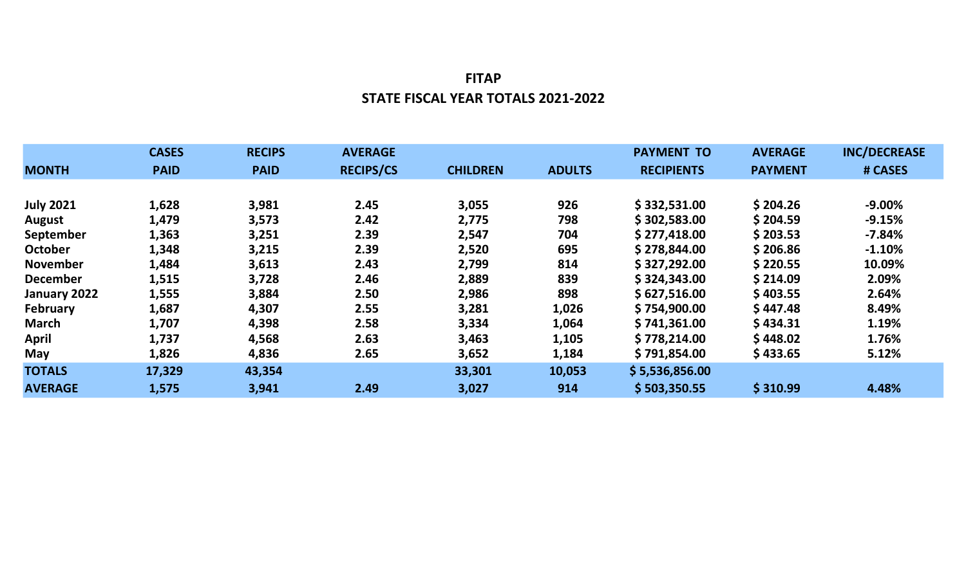## FITAP STATE FISCAL YEAR TOTALS 2021-2022

|                  | <b>CASES</b> | <b>RECIPS</b> | <b>AVERAGE</b>   |                 |               | <b>PAYMENT TO</b> | <b>AVERAGE</b> | <b>INC/DECREASE</b> |
|------------------|--------------|---------------|------------------|-----------------|---------------|-------------------|----------------|---------------------|
| <b>MONTH</b>     | <b>PAID</b>  | <b>PAID</b>   | <b>RECIPS/CS</b> | <b>CHILDREN</b> | <b>ADULTS</b> | <b>RECIPIENTS</b> | <b>PAYMENT</b> | # CASES             |
|                  |              |               |                  |                 |               |                   |                |                     |
| <b>July 2021</b> | 1,628        | 3,981         | 2.45             | 3,055           | 926           | \$332,531.00      | \$204.26       | $-9.00%$            |
| <b>August</b>    | 1,479        | 3,573         | 2.42             | 2,775           | 798           | \$302,583.00      | \$204.59       | $-9.15%$            |
| September        | 1,363        | 3,251         | 2.39             | 2,547           | 704           | \$277,418.00      | \$203.53       | $-7.84%$            |
| October          | 1,348        | 3,215         | 2.39             | 2,520           | 695           | \$278,844.00      | \$206.86       | $-1.10%$            |
| <b>November</b>  | 1,484        | 3,613         | 2.43             | 2,799           | 814           | \$327,292.00      | \$220.55       | 10.09%              |
| <b>December</b>  | 1,515        | 3,728         | 2.46             | 2,889           | 839           | \$324,343.00      | \$214.09       | 2.09%               |
| January 2022     | 1,555        | 3,884         | 2.50             | 2,986           | 898           | \$627,516.00      | \$403.55       | 2.64%               |
| February         | 1,687        | 4,307         | 2.55             | 3,281           | 1,026         | \$754,900.00      | \$447.48       | 8.49%               |
| <b>March</b>     | 1,707        | 4,398         | 2.58             | 3,334           | 1,064         | \$741,361.00      | \$434.31       | 1.19%               |
| <b>April</b>     | 1,737        | 4,568         | 2.63             | 3,463           | 1,105         | \$778,214.00      | \$448.02       | 1.76%               |
| May              | 1,826        | 4,836         | 2.65             | 3,652           | 1,184         | \$791,854.00      | \$433.65       | 5.12%               |
| <b>TOTALS</b>    | 17,329       | 43,354        |                  | 33,301          | 10,053        | \$5,536,856.00    |                |                     |
| <b>AVERAGE</b>   | 1,575        | 3,941         | 2.49             | 3,027           | 914           | \$503,350.55      | \$310.99       | 4.48%               |